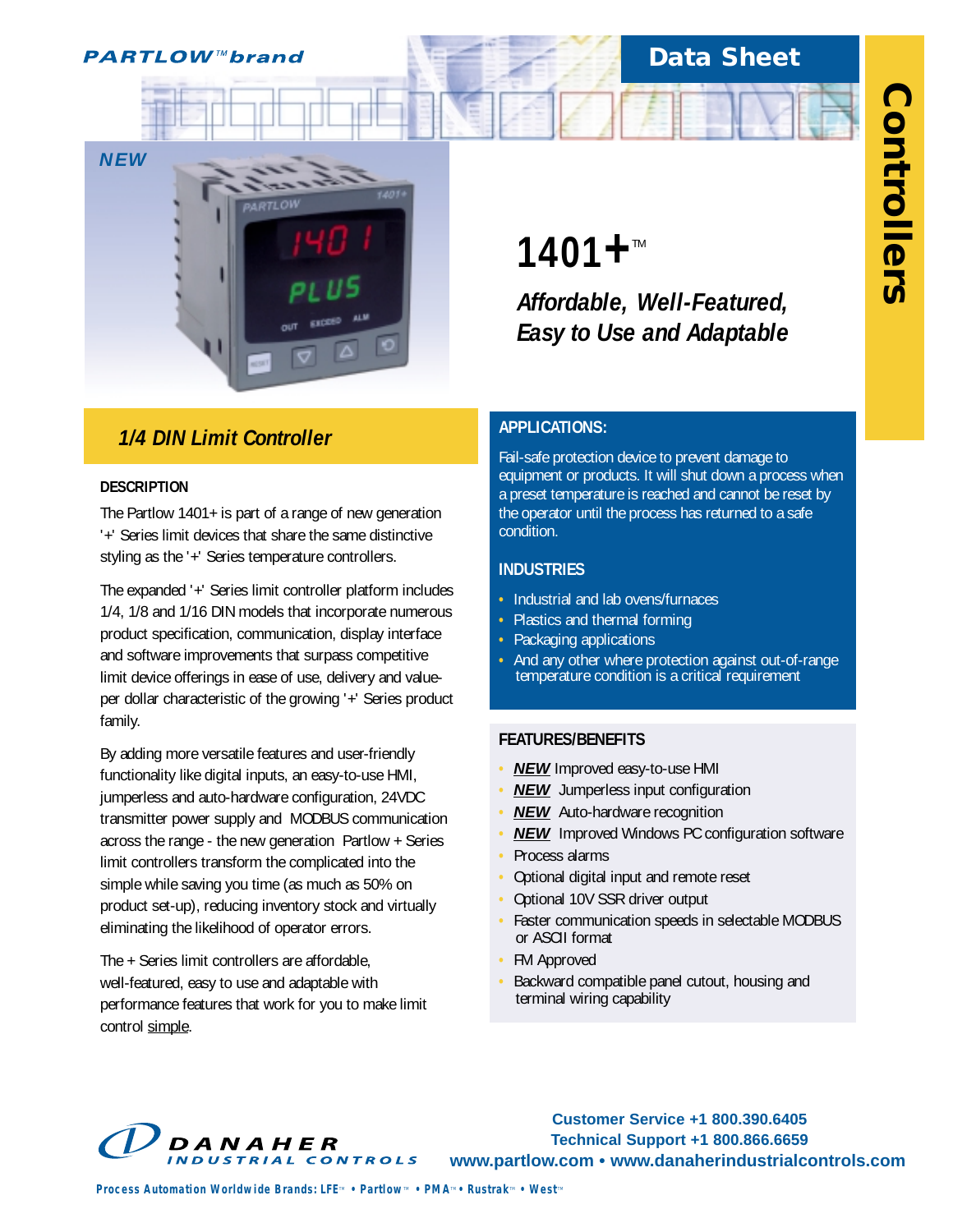**PARTLOW™brand** 

## **Data Sheet**



## *1/4 DIN Limit Controller*

## **DESCRIPTION**

The Partlow 1401+ is part of a range of new generation '+' Series limit devices that share the same distinctive styling as the '+' Series temperature controllers.

The expanded '+' Series limit controller platform includes 1/4, 1/8 and 1/16 DIN models that incorporate numerous product specification, communication, display interface and software improvements that surpass competitive limit device offerings in ease of use, delivery and valueper dollar characteristic of the growing '+' Series product family.

By adding more versatile features and user-friendly functionality like digital inputs, an easy-to-use HMI, jumperless and auto-hardware configuration, 24VDC transmitter power supply and MODBUS communication across the range - the new generation Partlow + Series limit controllers transform the complicated into the simple while saving you time (as much as 50% on product set-up), reducing inventory stock and virtually eliminating the likelihood of operator errors.

The + Series limit controllers are affordable, well-featured, easy to use and adaptable with performance features that work for you to make limit control simple.

# **1401+**™

*Affordable, Well-Featured, Easy to Use and Adaptable*

## **APPLICATIONS:**

Fail-safe protection device to prevent damage to equipment or products. It will shut down a process when a preset temperature is reached and cannot be reset by the operator until the process has returned to a safe condition.

## **INDUSTRIES**

- **•** Industrial and lab ovens/furnaces
- **•** Plastics and thermal forming
- **•** Packaging applications
- **•** And any other where protection against out-of-range temperature condition is a critical requirement

## **FEATURES/BENEFITS**

- **• NEW** Improved easy-to-use HMI
- **• NEW** Jumperless input configuration
- **NEW** Auto-hardware recognition
- **• NEW** Improved Windows PC configuration software
- **•** Process alarms
- **•** Optional digital input and remote reset
- **•** Optional 10V SSR driver output
- **•** Faster communication speeds in selectable MODBUS or ASCII format
- **•** FM Approved
- **•** Backward compatible panel cutout, housing and terminal wiring capability



**Customer Service +1 800.390.6405 Technical Support +1 800.866.6659 www.partlow.com • www.danaherindustrialcontrols.com**

*Process Automation Worldwide Brands: LFE<sup><i>m*</sup> • Partlow<sup>*m*</sup> • PMA<sup>*m*</sup> • Rustrak<sup>*m*</sup> • West<sup>*m*</sup>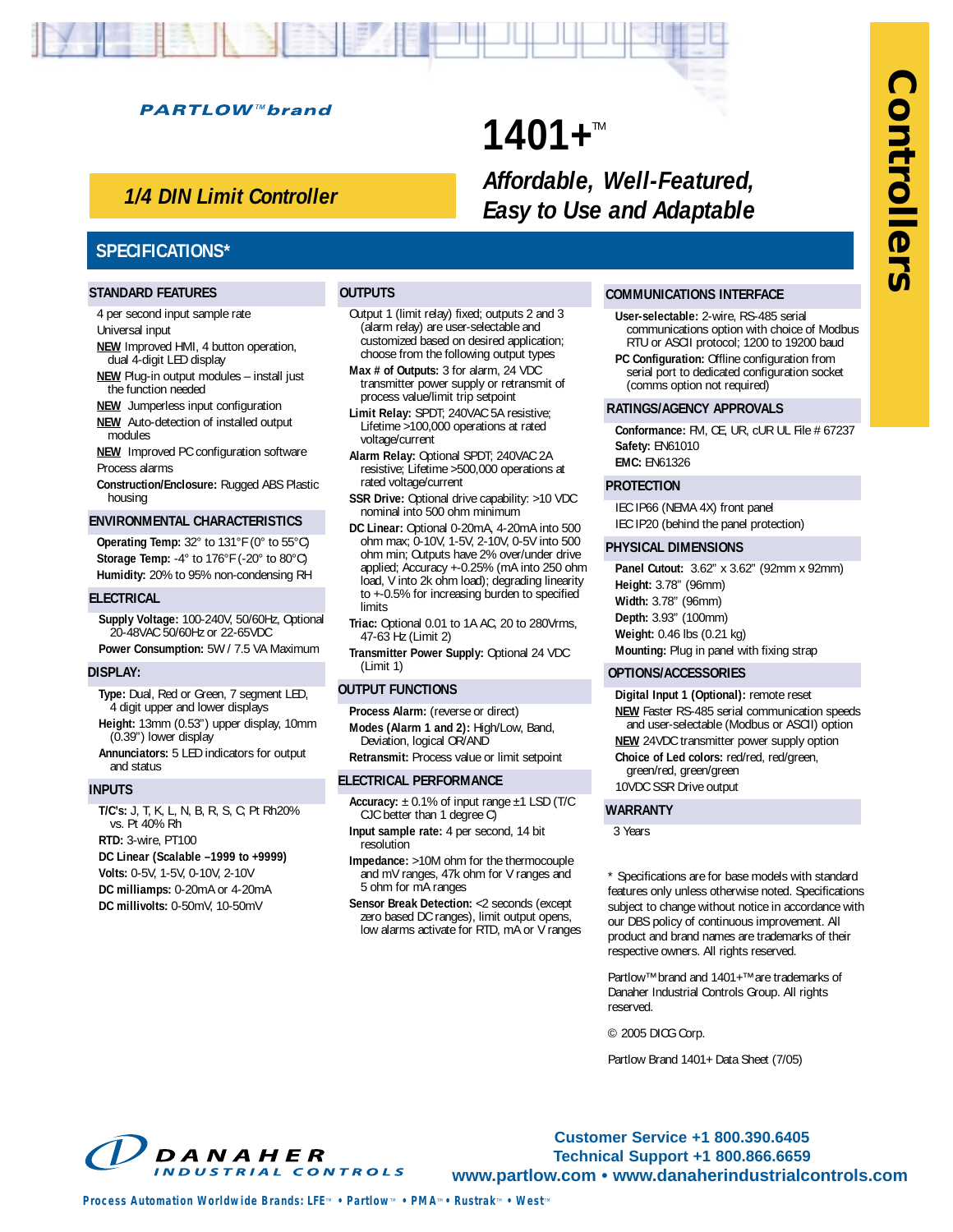#### **PARTLOW™brand**

## *1/4 DIN Limit Controller*

## **1401+™** *Affordable, Well-Featured, Easy to Use and Adaptable*

### **SPECIFICATIONS\***

#### **STANDARD FEATURES**

4 per second input sample rate Universal input

- **NEW** Improved HMI, 4 button operation, dual 4-digit LED display
- **NEW** Plug-in output modules install just the function needed
- **NEW** Jumperless input configuration **NEW** Auto-detection of installed output
- modules **NEW** Improved PC configuration software
- Process alarms
- **Construction/Enclosure:** Rugged ABS Plastic housing

#### **ENVIRONMENTAL CHARACTERISTICS**

**Operating Temp:** 32° to 131°F (0° to 55°C) **Storage Temp:** -4° to 176°F (-20° to 80°C) **Humidity:** 20% to 95% non-condensing RH

#### **ELECTRICAL**

**Supply Voltage:** 100-240V, 50/60Hz, Optional 20-48VAC 50/60Hz or 22-65VDC **Power Consumption:** 5W / 7.5 VA Maximum

#### **DISPLAY:**

- **Type:** Dual, Red or Green, 7 segment LED, 4 digit upper and lower displays
- **Height:** 13mm (0.53") upper display, 10mm (0.39") lower display
- **Annunciators:** 5 LED indicators for output and status

#### **INPUTS**

**T/C's:** J, T, K, L, N, B, R, S, C; Pt Rh20% vs. Pt 40% Rh **RTD:** 3-wire, PT100 **DC Linear (Scalable –1999 to +9999) Volts:** 0-5V, 1-5V, 0-10V, 2-10V **DC milliamps:** 0-20mA or 4-20mA **DC millivolts:** 0-50mV, 10-50mV

#### **OUTPUTS**

- Output 1 (limit relay) fixed; outputs 2 and 3 (alarm relay) are user-selectable and customized based on desired application; choose from the following output types
- **Max # of Outputs:** 3 for alarm, 24 VDC transmitter power supply or retransmit of process value/limit trip setpoint
- **Limit Relay:** SPDT; 240VAC 5A resistive; Lifetime >100,000 operations at rated voltage/current
- **Alarm Relay:** Optional SPDT; 240VAC 2A resistive; Lifetime >500,000 operations at rated voltage/current
- **SSR Drive:** Optional drive capability: >10 VDC nominal into 500 ohm minimum
- **DC Linear:** Optional 0-20mA, 4-20mA into 500 ohm max; 0-10V, 1-5V, 2-10V, 0-5V into 500 ohm min; Outputs have 2% over/under drive applied; Accuracy +-0.25% (mA into 250 ohm load, V into 2k ohm load); degrading linearity to +-0.5% for increasing burden to specified limits

**Triac:** Optional 0.01 to 1A AC, 20 to 280Vrms, 47-63 Hz (Limit 2)

**Transmitter Power Supply:** Optional 24 VDC (Limit 1)

#### **OUTPUT FUNCTIONS**

**Process Alarm:** (reverse or direct) **Modes (Alarm 1 and 2):** High/Low, Band,

Deviation, logical OR/AND **Retransmit:** Process value or limit setpoint

#### **ELECTRICAL PERFORMANCE**

- **Accuracy:** ± 0.1% of input range ±1 LSD (T/C CJC better than 1 degree C)
- **Input sample rate:** 4 per second, 14 bit resolution
- **Impedance:** >10M ohm for the thermocouple and mV ranges, 47k ohm for V ranges and 5 ohm for mA ranges
- **Sensor Break Detection:** <2 seconds (except zero based DC ranges), limit output opens, low alarms activate for RTD, mA or V ranges

#### **COMMUNICATIONS INTERFACE**

- **User-selectable:** 2-wire, RS-485 serial communications option with choice of Modbus RTU or ASCII protocol; 1200 to 19200 baud **PC Configuration:** Offline configuration from
- serial port to dedicated configuration socket (comms option not required)

#### **RATINGS/AGENCY APPROVALS**

**Conformance:** FM, CE, UR, cUR UL File # 67237 **Safety:** EN61010 **EMC:** EN61326

## **PROTECTION**

IEC IP66 (NEMA 4X) front panel IEC IP20 (behind the panel protection)

#### **PHYSICAL DIMENSIONS**

**Panel Cutout:** 3.62" x 3.62" (92mm x 92mm) **Height:** 3.78" (96mm) **Width:** 3.78" (96mm) **Depth:** 3.93" (100mm) **Weight:** 0.46 lbs (0.21 kg) **Mounting:** Plug in panel with fixing strap

#### **OPTIONS/ACCESSORIES**

**Digital Input 1 (Optional):** remote reset

- **NEW** Faster RS-485 serial communication speeds and user-selectable (Modbus or ASCII) option
- **NEW** 24VDC transmitter power supply option **Choice of Led colors:** red/red, red/green, green/red, green/green
- 10VDC SSR Drive output

#### **WARRANTY**

3 Years

- \* Specifications are for base models with standard features only unless otherwise noted. Specifications subject to change without notice in accordance with our DBS policy of continuous improvement. All product and brand names are trademarks of their respective owners. All rights reserved.
- Partlow™ brand and 1401+™ are trademarks of Danaher Industrial Controls Group. All rights reserved.

© 2005 DICG Corp.

Partlow Brand 1401+ Data Sheet (7/05)



**Customer Service +1 800.390.6405 Technical Support +1 800.866.6659 www.partlow.com • www.danaherindustrialcontrols.com**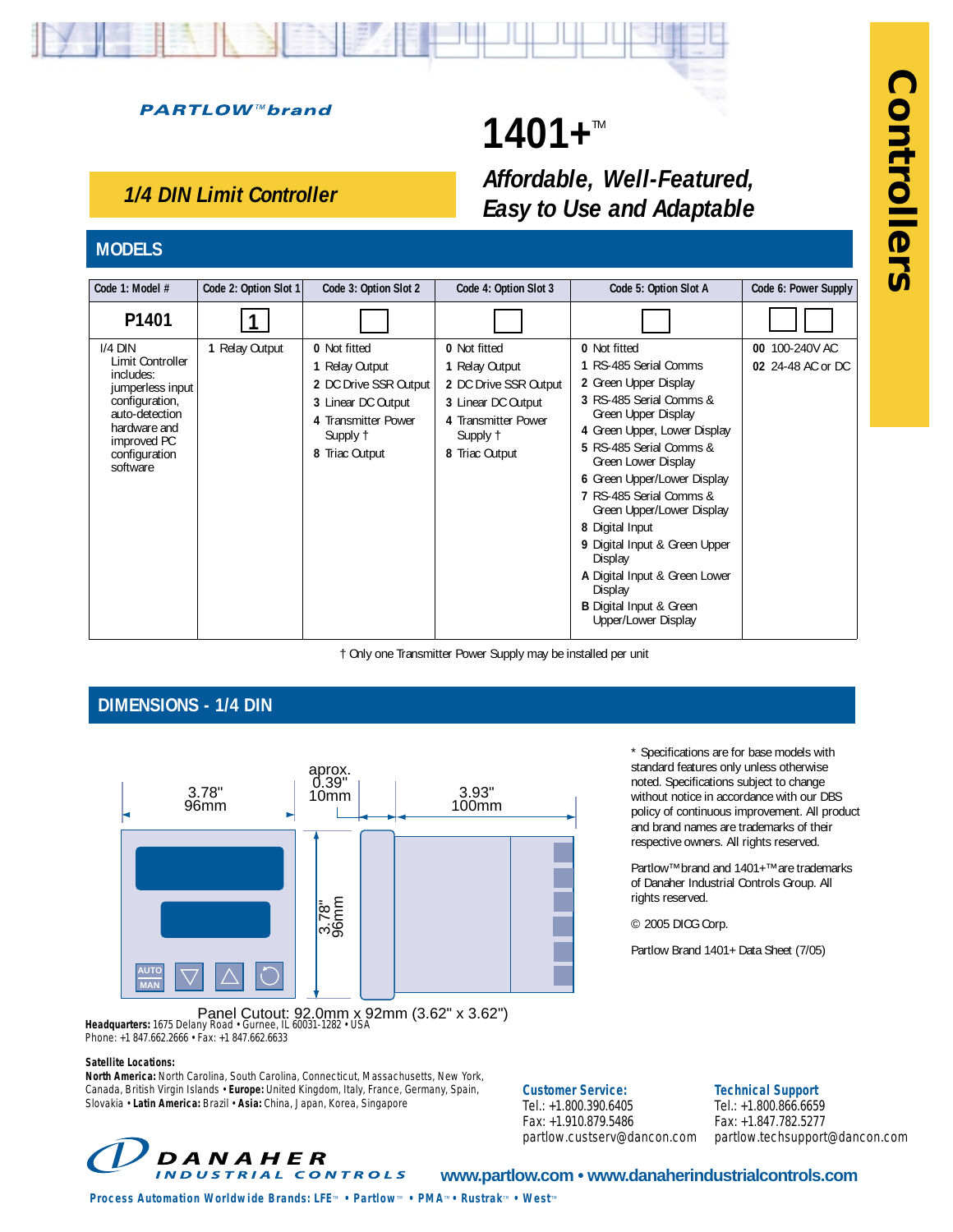## **PARTLOW™brand**

## **1401+™** *Affordable, Well-Featured, Easy to Use and Adaptable*

## *1/4 DIN Limit Controller*

## **MODELS**

| Code 1: Model #                                                                                                                                                | Code 2: Option Slot 1 | Code 3: Option Slot 2                                                                                                                     | Code 4: Option Slot 3                                                                                                              | Code 5: Option Slot A                                                                                                                                                                                                                                                                                                                                                                                                                                         | Code 6: Power Supply                |
|----------------------------------------------------------------------------------------------------------------------------------------------------------------|-----------------------|-------------------------------------------------------------------------------------------------------------------------------------------|------------------------------------------------------------------------------------------------------------------------------------|---------------------------------------------------------------------------------------------------------------------------------------------------------------------------------------------------------------------------------------------------------------------------------------------------------------------------------------------------------------------------------------------------------------------------------------------------------------|-------------------------------------|
| P <sub>1401</sub>                                                                                                                                              |                       |                                                                                                                                           |                                                                                                                                    |                                                                                                                                                                                                                                                                                                                                                                                                                                                               |                                     |
| $I/4$ DIN<br>Limit Controller<br>includes:<br>jumperless input<br>configuration,<br>auto-detection<br>hardware and<br>improved PC<br>configuration<br>software | 1 Relay Output        | <b>0</b> Not fitted<br>1 Relay Output<br>2 DC Drive SSR Output<br>3 Linear DC Output<br>4 Transmitter Power<br>Supply 1<br>8 Triac Output | 0 Not fitted<br>1 Relay Output<br>2 DC Drive SSR Output<br>3 Linear DC Output<br>4 Transmitter Power<br>Supply †<br>8 Triac Output | 0 Not fitted<br>1 RS-485 Serial Comms<br>2 Green Upper Display<br>3 RS-485 Serial Comms &<br>Green Upper Display<br>4 Green Upper, Lower Display<br>5 RS-485 Serial Comms &<br>Green Lower Display<br>6 Green Upper/Lower Display<br>7 RS-485 Serial Comms &<br>Green Upper/Lower Display<br>8 Digital Input<br>9 Digital Input & Green Upper<br>Display<br>A Digital Input & Green Lower<br>Display<br><b>B</b> Digital Input & Green<br>Upper/Lower Display | 00 100-240V AC<br>02 24-48 AC or DC |

† Only one Transmitter Power Supply may be installed per unit

## **DIMENSIONS - 1/4 DIN**



policy of continuous improvement. All product and brand names are trademarks of their respective owners. All rights reserved. Partlow™ brand and 1401+™ are trademarks of Danaher Industrial Controls Group. All rights reserved.

\* Specifications are for base models with standard features only unless otherwise noted. Specifications subject to change without notice in accordance with our DBS

© 2005 DICG Corp.

Partlow Brand 1401+ Data Sheet (7/05)

Panel Cutout: 92.0mm x 92mm (3.62" x 3.62") **Headquarters:** 1675 Delany Road • Gurnee, IL 60031-1282 • USA Phone: +1 847.662.2666 • Fax: +1 847.662.6633

#### **Satellite Locations:**

**North America:** North Carolina, South Carolina, Connecticut, Massachusetts, New York, Canada, British Virgin Islands • **Europe:** United Kingdom, Italy, France, Germany, Spain, Slovakia • **Latin America:** Brazil • **Asia:** China, Japan, Korea, Singapore

**Customer Service:**

Tel.: +1.800.390.6405 Fax: +1.910.879.5486 partlow.custserv@dancon.com **Technical Support**

Tel.: +1.800.866.6659 Fax: +1.847.782.5277 partlow.techsupport@dancon.com



## **www.partlow.com • www.danaherindustrialcontrols.com**

*Process Automation Worldwide Brands: LFE<sup><i>m*</sup> • Partlow<sup>*m*</sup> • PMA<sup>*m*</sup> • Rustrak<sup>*m*</sup> • West<sup>*m*</sup>